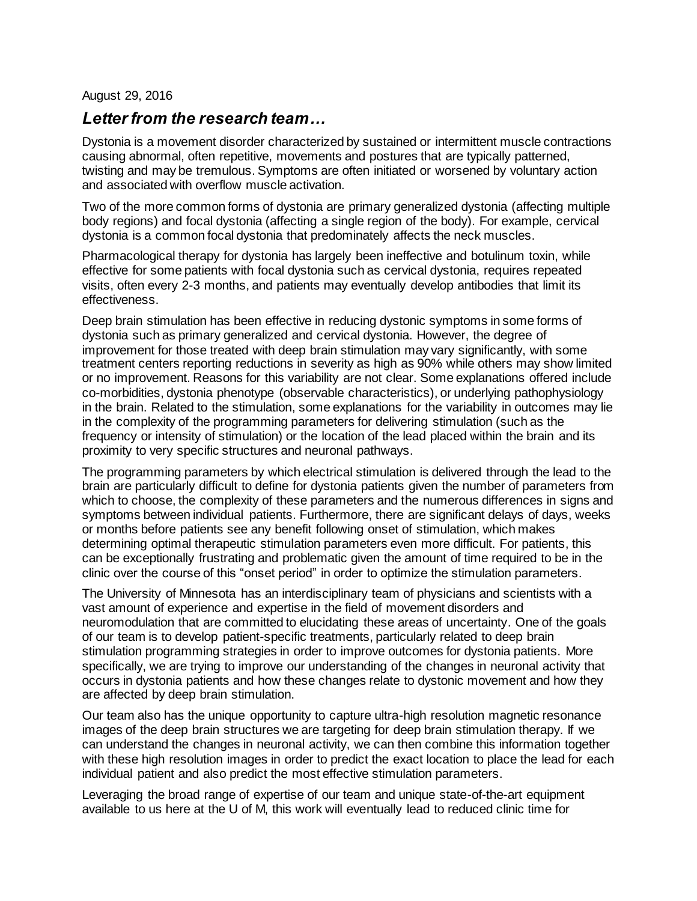## August 29, 2016

## *Letter from the research team…*

Dystonia is a movement disorder characterized by sustained or intermittent muscle contractions causing abnormal, often repetitive, movements and postures that are typically patterned, twisting and may be tremulous. Symptoms are often initiated or worsened by voluntary action and associated with overflow muscle activation.

Two of the more common forms of dystonia are primary generalized dystonia (affecting multiple body regions) and focal dystonia (affecting a single region of the body). For example, cervical dystonia is a common focal dystonia that predominately affects the neck muscles.

Pharmacological therapy for dystonia has largely been ineffective and botulinum toxin, while effective for some patients with focal dystonia such as cervical dystonia, requires repeated visits, often every 2-3 months, and patients may eventually develop antibodies that limit its effectiveness.

Deep brain stimulation has been effective in reducing dystonic symptoms in some forms of dystonia such as primary generalized and cervical dystonia. However, the degree of improvement for those treated with deep brain stimulation may vary significantly, with some treatment centers reporting reductions in severity as high as 90% while others may show limited or no improvement. Reasons for this variability are not clear. Some explanations offered include co-morbidities, dystonia phenotype (observable characteristics), or underlying pathophysiology in the brain. Related to the stimulation, some explanations for the variability in outcomes may lie in the complexity of the programming parameters for delivering stimulation (such as the frequency or intensity of stimulation) or the location of the lead placed within the brain and its proximity to very specific structures and neuronal pathways.

The programming parameters by which electrical stimulation is delivered through the lead to the brain are particularly difficult to define for dystonia patients given the number of parameters from which to choose, the complexity of these parameters and the numerous differences in signs and symptoms between individual patients. Furthermore, there are significant delays of days, weeks or months before patients see any benefit following onset of stimulation, which makes determining optimal therapeutic stimulation parameters even more difficult. For patients, this can be exceptionally frustrating and problematic given the amount of time required to be in the clinic over the course of this "onset period" in order to optimize the stimulation parameters.

The University of Minnesota has an interdisciplinary team of physicians and scientists with a vast amount of experience and expertise in the field of movement disorders and neuromodulation that are committed to elucidating these areas of uncertainty. One of the goals of our team is to develop patient-specific treatments, particularly related to deep brain stimulation programming strategies in order to improve outcomes for dystonia patients. More specifically, we are trying to improve our understanding of the changes in neuronal activity that occurs in dystonia patients and how these changes relate to dystonic movement and how they are affected by deep brain stimulation.

Our team also has the unique opportunity to capture ultra-high resolution magnetic resonance images of the deep brain structures we are targeting for deep brain stimulation therapy. If we can understand the changes in neuronal activity, we can then combine this information together with these high resolution images in order to predict the exact location to place the lead for each individual patient and also predict the most effective stimulation parameters.

Leveraging the broad range of expertise of our team and unique state-of-the-art equipment available to us here at the U of M, this work will eventually lead to reduced clinic time for